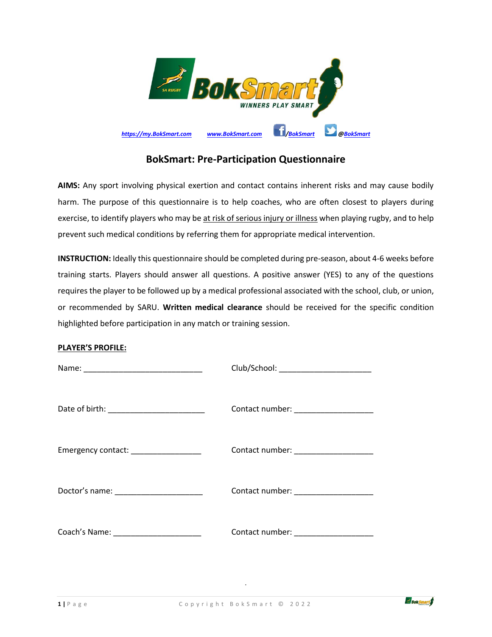

## **BokSmart: Pre-Participation Questionnaire**

**AIMS:** Any sport involving physical exertion and contact contains inherent risks and may cause bodily harm. The purpose of this questionnaire is to help coaches, who are often closest to players during exercise, to identify players who may be at risk of serious injury or illness when playing rugby, and to help prevent such medical conditions by referring them for appropriate medical intervention.

**INSTRUCTION:** Ideally this questionnaire should be completed during pre-season, about 4-6 weeks before training starts. Players should answer all questions. A positive answer (YES) to any of the questions requires the player to be followed up by a medical professional associated with the school, club, or union, or recommended by SARU. **Written medical clearance** should be received for the specific condition highlighted before participation in any match or training session.

## **PLAYER'S PROFILE:**

|                                            | Club/School: __________________________  |
|--------------------------------------------|------------------------------------------|
| Date of birth: ___________________________ | Contact number: ____________________     |
| Emergency contact: ___________________     | Contact number: ____________________     |
| Doctor's name: _______________________     | Contact number: ___________________      |
| Coach's Name: _________________________    | Contact number: National Contact number: |

.

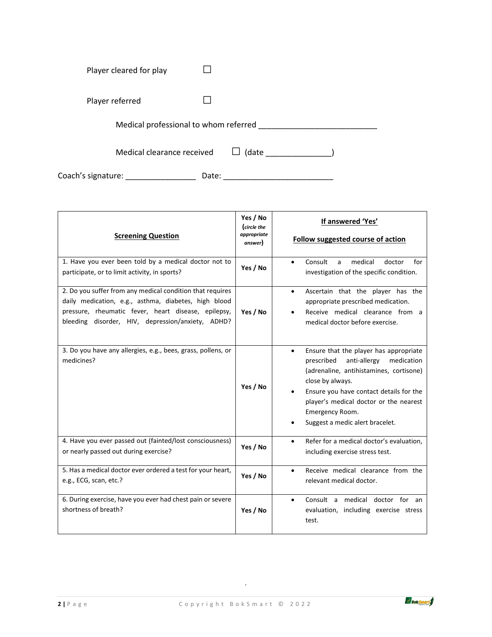| Player cleared for play               |       |  |
|---------------------------------------|-------|--|
| Player referred                       |       |  |
| Medical professional to whom referred |       |  |
| Medical clearance received            | (date |  |

Coach's signature: \_\_\_\_\_\_\_\_\_\_\_\_\_\_\_\_ Date: \_\_\_\_\_\_\_\_\_\_\_\_\_\_\_\_\_\_\_\_\_\_\_\_\_

| <b>Screening Question</b>                                                                                                                                                                                                     | Yes / No<br>(circle the<br>appropriate<br>answer) | If answered 'Yes'<br>Follow suggested course of action                                                                                                                                                                                                                                                    |
|-------------------------------------------------------------------------------------------------------------------------------------------------------------------------------------------------------------------------------|---------------------------------------------------|-----------------------------------------------------------------------------------------------------------------------------------------------------------------------------------------------------------------------------------------------------------------------------------------------------------|
| 1. Have you ever been told by a medical doctor not to<br>participate, or to limit activity, in sports?                                                                                                                        | Yes / No                                          | Consult<br>medical<br>doctor<br>for<br>a<br>$\bullet$<br>investigation of the specific condition.                                                                                                                                                                                                         |
| 2. Do you suffer from any medical condition that requires<br>daily medication, e.g., asthma, diabetes, high blood<br>pressure, rheumatic fever, heart disease, epilepsy,<br>bleeding disorder, HIV, depression/anxiety, ADHD? | Yes / No                                          | Ascertain that the player has the<br>$\bullet$<br>appropriate prescribed medication.<br>Receive medical clearance from a<br>medical doctor before exercise.                                                                                                                                               |
| 3. Do you have any allergies, e.g., bees, grass, pollens, or<br>medicines?                                                                                                                                                    | Yes / No                                          | Ensure that the player has appropriate<br>$\bullet$<br>prescribed<br>anti-allergy<br>medication<br>(adrenaline, antihistamines, cortisone)<br>close by always.<br>Ensure you have contact details for the<br>player's medical doctor or the nearest<br>Emergency Room.<br>Suggest a medic alert bracelet. |
| 4. Have you ever passed out (fainted/lost consciousness)<br>or nearly passed out during exercise?                                                                                                                             | Yes / No                                          | Refer for a medical doctor's evaluation.<br>$\bullet$<br>including exercise stress test.                                                                                                                                                                                                                  |
| 5. Has a medical doctor ever ordered a test for your heart,<br>e.g., ECG, scan, etc.?                                                                                                                                         | Yes / No                                          | Receive medical clearance from the<br>$\bullet$<br>relevant medical doctor.                                                                                                                                                                                                                               |
| 6. During exercise, have you ever had chest pain or severe<br>shortness of breath?                                                                                                                                            | Yes / No                                          | Consult a medical doctor for an<br>$\bullet$<br>evaluation, including exercise stress<br>test.                                                                                                                                                                                                            |

.